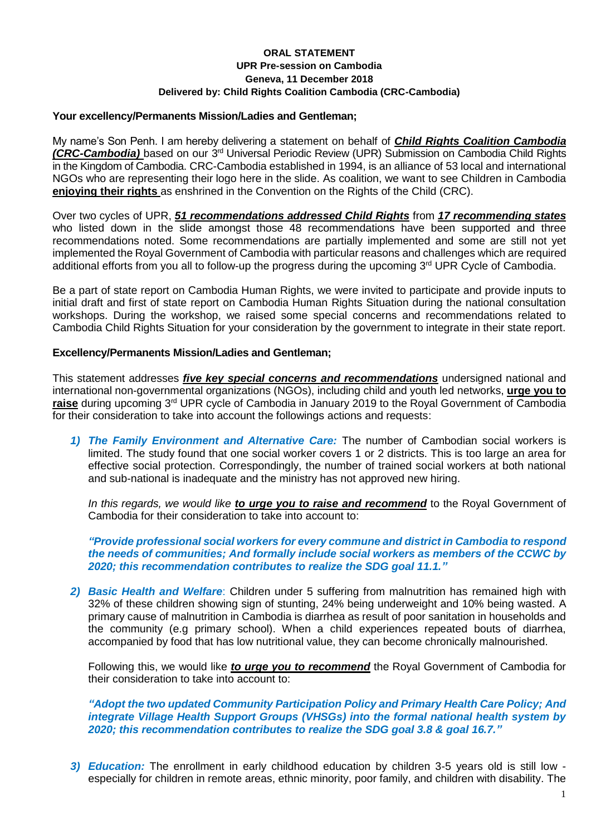# **ORAL STATEMENT UPR Pre-session on Cambodia Geneva, 11 December 2018 Delivered by: Child Rights Coalition Cambodia (CRC-Cambodia)**

### **Your excellency/Permanents Mission/Ladies and Gentleman;**

My name's Son Penh. I am hereby delivering a statement on behalf of *Child Rights Coalition Cambodia (CRC-Cambodia)* based on our 3<sup>rd</sup> Universal Periodic Review (UPR) Submission on Cambodia Child Rights in the Kingdom of Cambodia. CRC-Cambodia established in 1994, is an alliance of 53 local and international NGOs who are representing their logo here in the slide. As coalition, we want to see Children in Cambodia **enjoying their rights** as enshrined in the Convention on the Rights of the Child (CRC).

Over two cycles of UPR, *51 recommendations addressed Child Rights* from *17 recommending states* who listed down in the slide amongst those 48 recommendations have been supported and three recommendations noted. Some recommendations are partially implemented and some are still not yet implemented the Royal Government of Cambodia with particular reasons and challenges which are required additional efforts from you all to follow-up the progress during the upcoming 3<sup>rd</sup> UPR Cycle of Cambodia.

Be a part of state report on Cambodia Human Rights, we were invited to participate and provide inputs to initial draft and first of state report on Cambodia Human Rights Situation during the national consultation workshops. During the workshop, we raised some special concerns and recommendations related to Cambodia Child Rights Situation for your consideration by the government to integrate in their state report.

### **Excellency/Permanents Mission/Ladies and Gentleman;**

This statement addresses *five key special concerns and recommendations* undersigned national and international non-governmental organizations (NGOs), including child and youth led networks, **urge you to raise** during upcoming 3rd UPR cycle of Cambodia in January 2019 to the Royal Government of Cambodia for their consideration to take into account the followings actions and requests:

*1) The Family Environment and Alternative Care:* The number of Cambodian social workers is limited. The study found that one social worker covers 1 or 2 districts. This is too large an area for effective social protection. Correspondingly, the number of trained social workers at both national and sub-national is inadequate and the ministry has not approved new hiring.

*In this regards, we would like to urge you to raise and recommend* to the Royal Government of Cambodia for their consideration to take into account to:

*"Provide professional social workers for every commune and district in Cambodia to respond the needs of communities; And formally include social workers as members of the CCWC by 2020; this recommendation contributes to realize the SDG goal 11.1."*

*2) Basic Health and Welfare*: Children under 5 suffering from malnutrition has remained high with 32% of these children showing sign of stunting, 24% being underweight and 10% being wasted. A primary cause of malnutrition in Cambodia is diarrhea as result of poor sanitation in households and the community (e.g primary school). When a child experiences repeated bouts of diarrhea, accompanied by food that has low nutritional value, they can become chronically malnourished.

Following this, we would like *to urge you to recommend* the Royal Government of Cambodia for their consideration to take into account to:

*"Adopt the two updated Community Participation Policy and Primary Health Care Policy; And integrate Village Health Support Groups (VHSGs) into the formal national health system by 2020; this recommendation contributes to realize the SDG goal 3.8 & goal 16.7."*

*3) Education:* The enrollment in early childhood education by children 3-5 years old is still low especially for children in remote areas, ethnic minority, poor family, and children with disability. The